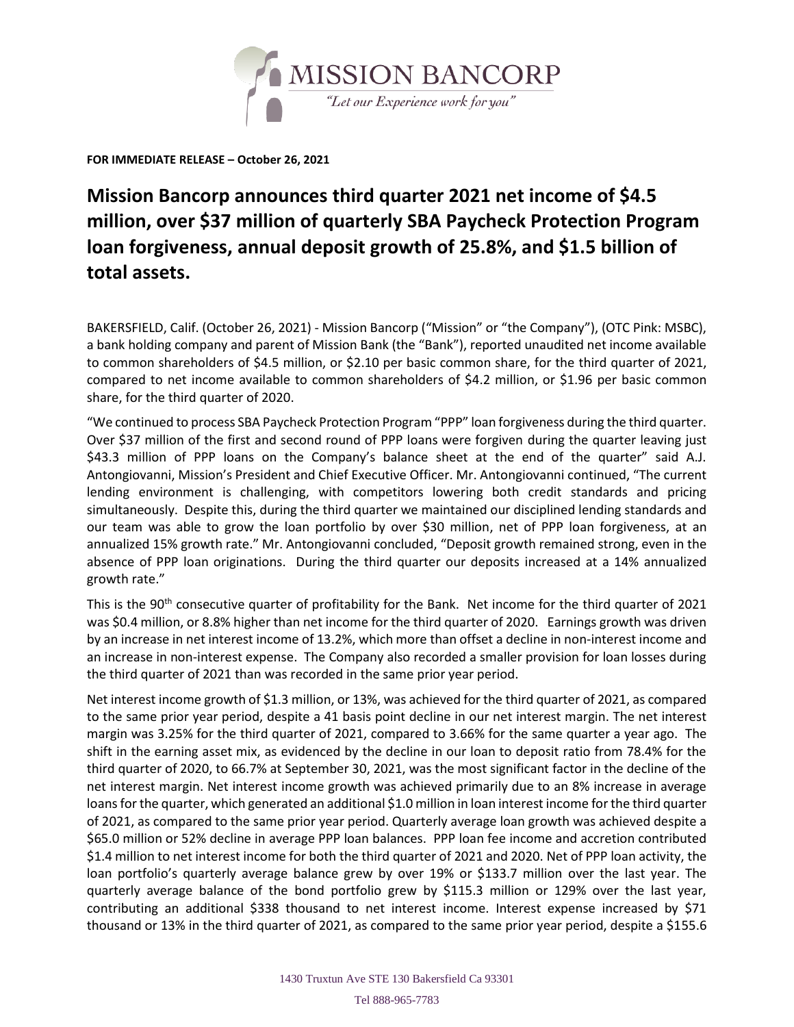

**FOR IMMEDIATE RELEASE – October 26, 2021**

## **Mission Bancorp announces third quarter 2021 net income of \$4.5 million, over \$37 million of quarterly SBA Paycheck Protection Program loan forgiveness, annual deposit growth of 25.8%, and \$1.5 billion of total assets.**

BAKERSFIELD, Calif. (October 26, 2021) - Mission Bancorp ("Mission" or "the Company"), (OTC Pink: MSBC), a bank holding company and parent of Mission Bank (the "Bank"), reported unaudited net income available to common shareholders of \$4.5 million, or \$2.10 per basic common share, for the third quarter of 2021, compared to net income available to common shareholders of \$4.2 million, or \$1.96 per basic common share, for the third quarter of 2020.

"We continued to process SBA Paycheck Protection Program "PPP" loan forgiveness during the third quarter. Over \$37 million of the first and second round of PPP loans were forgiven during the quarter leaving just \$43.3 million of PPP loans on the Company's balance sheet at the end of the quarter" said A.J. Antongiovanni, Mission's President and Chief Executive Officer. Mr. Antongiovanni continued, "The current lending environment is challenging, with competitors lowering both credit standards and pricing simultaneously. Despite this, during the third quarter we maintained our disciplined lending standards and our team was able to grow the loan portfolio by over \$30 million, net of PPP loan forgiveness, at an annualized 15% growth rate." Mr. Antongiovanni concluded, "Deposit growth remained strong, even in the absence of PPP loan originations. During the third quarter our deposits increased at a 14% annualized growth rate."

This is the 90<sup>th</sup> consecutive quarter of profitability for the Bank. Net income for the third quarter of 2021 was \$0.4 million, or 8.8% higher than net income for the third quarter of 2020. Earnings growth was driven by an increase in net interest income of 13.2%, which more than offset a decline in non-interest income and an increase in non-interest expense. The Company also recorded a smaller provision for loan losses during the third quarter of 2021 than was recorded in the same prior year period.

Net interest income growth of \$1.3 million, or 13%, was achieved for the third quarter of 2021, as compared to the same prior year period, despite a 41 basis point decline in our net interest margin. The net interest margin was 3.25% for the third quarter of 2021, compared to 3.66% for the same quarter a year ago. The shift in the earning asset mix, as evidenced by the decline in our loan to deposit ratio from 78.4% for the third quarter of 2020, to 66.7% at September 30, 2021, was the most significant factor in the decline of the net interest margin. Net interest income growth was achieved primarily due to an 8% increase in average loans for the quarter, which generated an additional \$1.0 million in loan interest income for the third quarter of 2021, as compared to the same prior year period. Quarterly average loan growth was achieved despite a \$65.0 million or 52% decline in average PPP loan balances. PPP loan fee income and accretion contributed \$1.4 million to net interest income for both the third quarter of 2021 and 2020. Net of PPP loan activity, the loan portfolio's quarterly average balance grew by over 19% or \$133.7 million over the last year. The quarterly average balance of the bond portfolio grew by \$115.3 million or 129% over the last year, contributing an additional \$338 thousand to net interest income. Interest expense increased by \$71 thousand or 13% in the third quarter of 2021, as compared to the same prior year period, despite a \$155.6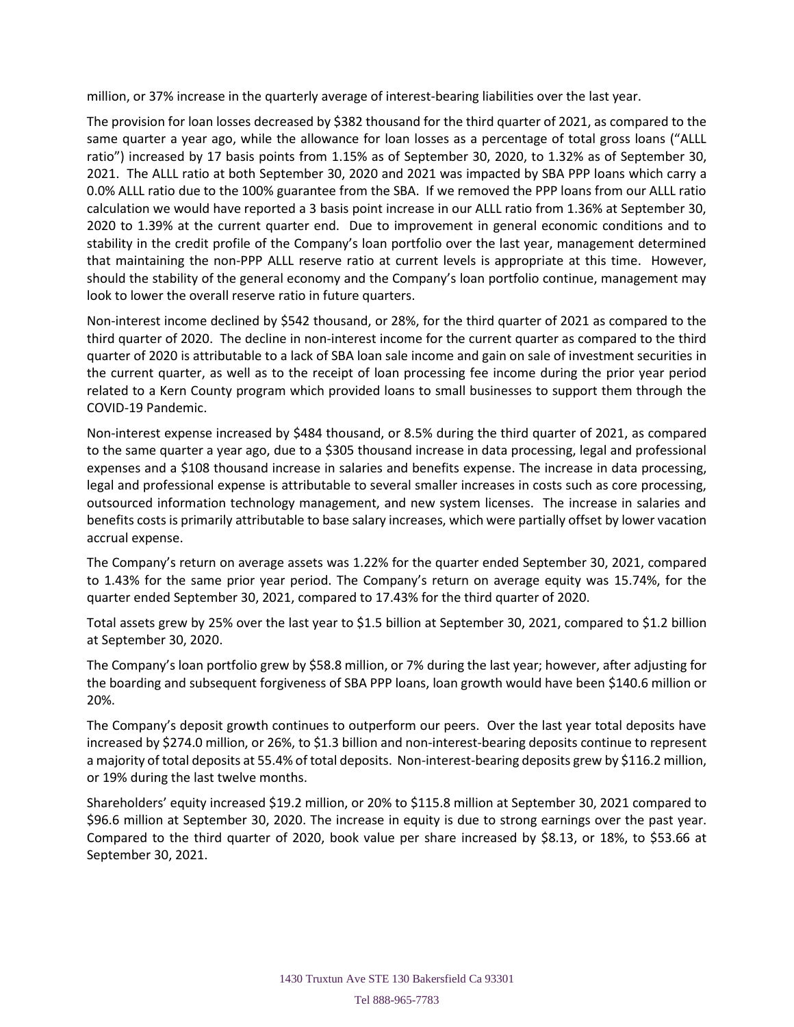million, or 37% increase in the quarterly average of interest-bearing liabilities over the last year.

The provision for loan losses decreased by \$382 thousand for the third quarter of 2021, as compared to the same quarter a year ago, while the allowance for loan losses as a percentage of total gross loans ("ALLL ratio") increased by 17 basis points from 1.15% as of September 30, 2020, to 1.32% as of September 30, 2021. The ALLL ratio at both September 30, 2020 and 2021 was impacted by SBA PPP loans which carry a 0.0% ALLL ratio due to the 100% guarantee from the SBA. If we removed the PPP loans from our ALLL ratio calculation we would have reported a 3 basis point increase in our ALLL ratio from 1.36% at September 30, 2020 to 1.39% at the current quarter end. Due to improvement in general economic conditions and to stability in the credit profile of the Company's loan portfolio over the last year, management determined that maintaining the non-PPP ALLL reserve ratio at current levels is appropriate at this time. However, should the stability of the general economy and the Company's loan portfolio continue, management may look to lower the overall reserve ratio in future quarters.

Non-interest income declined by \$542 thousand, or 28%, for the third quarter of 2021 as compared to the third quarter of 2020. The decline in non-interest income for the current quarter as compared to the third quarter of 2020 is attributable to a lack of SBA loan sale income and gain on sale of investment securities in the current quarter, as well as to the receipt of loan processing fee income during the prior year period related to a Kern County program which provided loans to small businesses to support them through the COVID-19 Pandemic.

Non-interest expense increased by \$484 thousand, or 8.5% during the third quarter of 2021, as compared to the same quarter a year ago, due to a \$305 thousand increase in data processing, legal and professional expenses and a \$108 thousand increase in salaries and benefits expense. The increase in data processing, legal and professional expense is attributable to several smaller increases in costs such as core processing, outsourced information technology management, and new system licenses. The increase in salaries and benefits costs is primarily attributable to base salary increases, which were partially offset by lower vacation accrual expense.

The Company's return on average assets was 1.22% for the quarter ended September 30, 2021, compared to 1.43% for the same prior year period. The Company's return on average equity was 15.74%, for the quarter ended September 30, 2021, compared to 17.43% for the third quarter of 2020.

Total assets grew by 25% over the last year to \$1.5 billion at September 30, 2021, compared to \$1.2 billion at September 30, 2020.

The Company's loan portfolio grew by \$58.8 million, or 7% during the last year; however, after adjusting for the boarding and subsequent forgiveness of SBA PPP loans, loan growth would have been \$140.6 million or 20%.

The Company's deposit growth continues to outperform our peers. Over the last year total deposits have increased by \$274.0 million, or 26%, to \$1.3 billion and non-interest-bearing deposits continue to represent a majority of total deposits at 55.4% of total deposits. Non-interest-bearing deposits grew by \$116.2 million, or 19% during the last twelve months.

Shareholders' equity increased \$19.2 million, or 20% to \$115.8 million at September 30, 2021 compared to \$96.6 million at September 30, 2020. The increase in equity is due to strong earnings over the past year. Compared to the third quarter of 2020, book value per share increased by \$8.13, or 18%, to \$53.66 at September 30, 2021.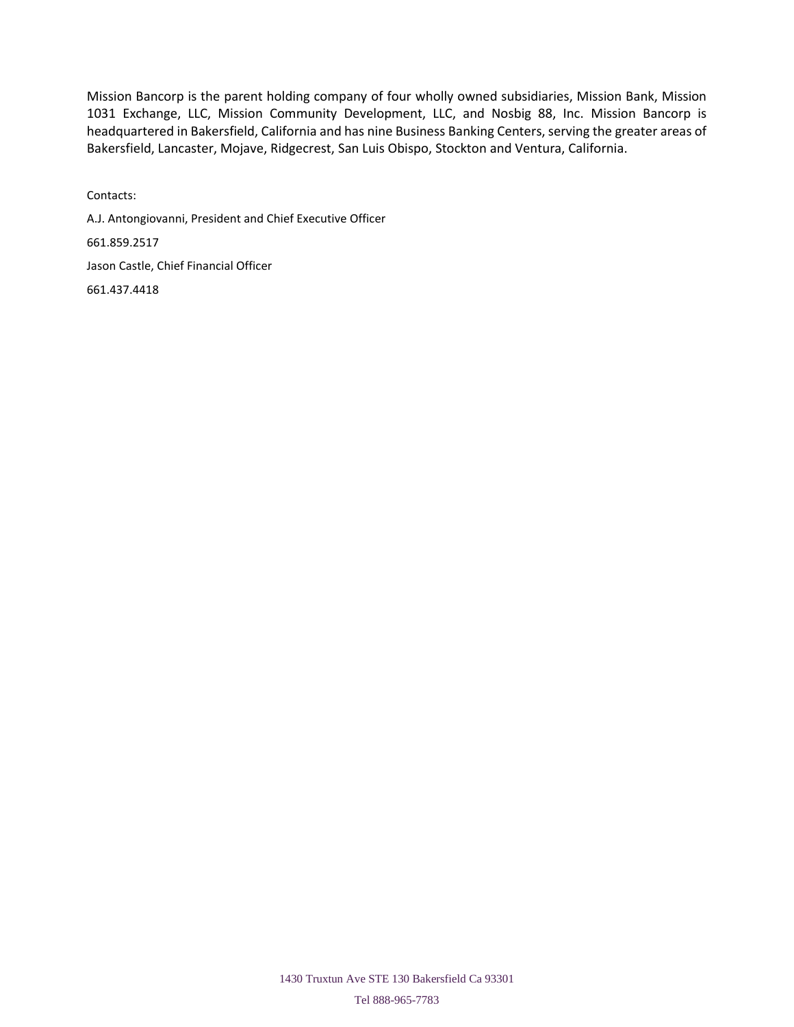Mission Bancorp is the parent holding company of four wholly owned subsidiaries, Mission Bank, Mission 1031 Exchange, LLC, Mission Community Development, LLC, and Nosbig 88, Inc. Mission Bancorp is headquartered in Bakersfield, California and has nine Business Banking Centers, serving the greater areas of Bakersfield, Lancaster, Mojave, Ridgecrest, San Luis Obispo, Stockton and Ventura, California.

Contacts: A.J. Antongiovanni, President and Chief Executive Officer 661.859.2517 Jason Castle, Chief Financial Officer 661.437.4418